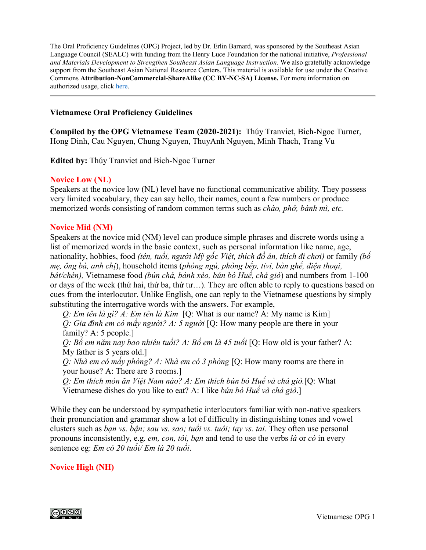The Oral Proficiency Guidelines (OPG) Project, led by Dr. Erlin Barnard, was sponsored by the Southeast Asian Language Council (SEALC) with funding from the Henry Luce Foundation for the national initiative, *Professional and Materials Development to Strengthen Southeast Asian Language Instruction*. We also gratefully acknowledge support from the Southeast Asian National Resource Centers. This material is available for use under the Creative Commons **Attribution-NonCommercial-ShareAlike (CC BY-NC-SA) License.** For more information on authorized usage, click [here.](https://creativecommons.org/licenses/by-nc-sa/3.0/)

### **Vietnamese Oral Proficiency Guidelines**

**Compiled by the OPG Vietnamese Team (2020-2021):** Thúy Tranviet, Bich-Ngoc Turner, Hong Dinh, Cau Nguyen, Chung Nguyen, ThuyAnh Nguyen, Minh Thach, Trang Vu

**Edited by:** Thúy Tranviet and Bích-Ngoc Turner

#### **Novice Low (NL)**

Speakers at the novice low (NL) level have no functional communicative ability. They possess very limited vocabulary, they can say hello, their names, count a few numbers or produce memorized words consisting of random common terms such as *chào, phở, bánh mì, etc.*

#### **Novice Mid (NM)**

Speakers at the novice mid (NM) level can produce simple phrases and discrete words using a list of memorized words in the basic context, such as personal information like name, age, nationality, hobbies, food *(tên, tuổi, người Mỹ gốc Việt, thích đồ ăn, thích đi chơi)* or family *(bố mẹ, ông bà, anh chị*), household items (*phòng ngủ, phòng bếp, tivi, bàn ghế, điện thoại, bát/chén),* Vietnamese food *(bún chả, bánh xèo, bún bò Huế, chả giò*) and numbers from 1-100 or days of the week (thứ hai, thứ ba, thứ tư…). They are often able to reply to questions based on cues from the interlocutor. Unlike English, one can reply to the Vietnamese questions by simply substituting the interrogative words with the answers. For example,

*Q: Em tên là gì? A: Em tên là Kim* [Q: What is our name? A: My name is Kim] *Q: Gia đình em có mấy người? A: 5 người* [Q: How many people are there in your family? A: 5 people.]

*Q: Bố em năm nay bao nhiêu tuổi? A: Bố em là 45 tuổi* [Q: How old is your father? A: My father is 5 years old.]

*Q: Nhà em có mấy phòng? A: Nhà em có 3 phòng* [Q: How many rooms are there in your house? A: There are 3 rooms.]

*Q: Em thích món ăn Việt Nam nào? A: Em thích bún bò Huế và chả giò.*[Q: What Vietnamese dishes do you like to eat? A: I like *bún bò Huế và chả giò*.]

While they can be understood by sympathetic interlocutors familiar with non-native speakers their pronunciation and grammar show a lot of difficulty in distinguishing tones and vowel clusters such as *bạn vs. bận; sau vs. sao; tuổi vs. tuôi; tay vs. tai.* They often use personal pronouns inconsistently, e.g. *em, con, tôi, bạn* and tend to use the verbs *là* or *có* in every sentence eg: *Em có 20 tuổi/ Em là 20 tuổi*.

### **Novice High (NH)**

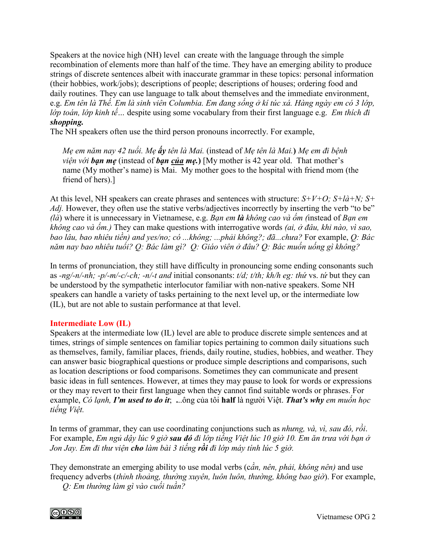Speakers at the novice high (NH) level can create with the language through the simple recombination of elements more than half of the time. They have an emerging ability to produce strings of discrete sentences albeit with inaccurate grammar in these topics: personal information (their hobbies, work/jobs); descriptions of people; descriptions of houses; ordering food and daily routines. They can use language to talk about themselves and the immediate environment, e.g. *Em tên là Thế. Em là sinh viên Columbia. Em đang sống ở kí túc xá. Hàng ngày em có 3 lớp, lớp toán, lớp kinh tế…* despite using some vocabulary from their first language e.g. *Em thích đi shopping.* 

The NH speakers often use the third person pronouns incorrectly. For example,

*Mẹ em năm nay 42 tuổi. Mẹ ấy tên là Mai.* (instead of *Mẹ tên là Mai.***)** *Mẹ em đi bệnh viện với bạn mẹ* (instead of *bạn của mẹ.***)** [My mother is 42 year old. That mother's name (My mother's name) is Mai. My mother goes to the hospital with friend mom (the friend of hers).]

At this level, NH speakers can create phrases and sentences with structure: *S+V+O; S+là+N; S+ Adj.* However, they often use the stative verbs/adjectives incorrectly by inserting the verb "to be" *(là*) where it is unnecessary in Vietnamese, e.g. *Bạn em là không cao và ốm (*instead of *Bạn em không cao và ốm.)* They can make questions with interrogative words *(ai, ở đâu, khi nào, vì sao, bao lâu, bao nhiêu tiền) and yes/no; có ...không; ...phải không?; đã...chưa?* For example, *Q: Bác năm nay bao nhiêu tuổi? Q: Bác làm gì? Q: Giáo viên ở đâu? Q: Bác muốn uống gì không?* 

In terms of pronunciation, they still have difficulty in pronouncing some ending consonants such as -ng/-n/-nh; -p/-m/-c/-ch; -n/-t and initial consonants: t/d; t/th; kh/h eg: thứ vs. tứ but they can be understood by the sympathetic interlocutor familiar with non-native speakers. Some NH speakers can handle a variety of tasks pertaining to the next level up, or the intermediate low (IL), but are not able to sustain performance at that level.

# **Intermediate Low (IL)**

Speakers at the intermediate low (IL) level are able to produce discrete simple sentences and at times, strings of simple sentences on familiar topics pertaining to common daily situations such as themselves, family, familiar places, friends, daily routine, studies, hobbies, and weather. They can answer basic biographical questions or produce simple descriptions and comparisons, such as location descriptions or food comparisons. Sometimes they can communicate and present basic ideas in full sentences. However, at times they may pause to look for words or expressions or they may revert to their first language when they cannot find suitable words or phrases. For example, *Có lạnh, I'm used to do it*; **.**..ông của tôi **half** là người Việt. *That's why em muốn học tiếng Việt.* 

In terms of grammar, they can use coordinating conjunctions such as *nhưng, và, vì, sau đó, rồi*. For example, *Em ngủ dậy lúc 9 giờ sau đó đi lớp tiếng Việt lúc 10 giờ 10. Em ăn trưa với bạn ở Jon Jay. Em đi thư viện cho làm bài 3 tiếng rồi đi lớp máy tính lúc 5 giờ.*

They demonstrate an emerging ability to use modal verbs (c*ần, nên, phải, không nên)* and use frequency adverbs (*thỉnh thoảng, thường xuyên, luôn luôn, thường, không bao giờ*). For example,

*Q: Em thường làm gì vào cuối tuần?* 

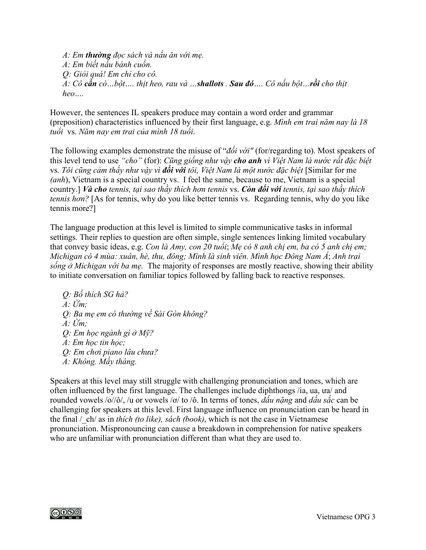*A: Em thường đọc sách và nấu ăn với mẹ. A: Em biết nấu bánh cuốn. Q: Giỏi quá! Em chỉ cho cô. A: Cô cần có…bột…. thịt heo, rau và …shallots . Sau đó…. Cô nấu bột…rồi cho thịt heo….* 

However, the sentences IL speakers produce may contain a word order and grammar (preposition) characteristics influenced by their first language, e.g. *Mình em trai năm nay là 18 tuổi* vs. *Năm nay em trai của mình 18 tuổi*.

The following examples demonstrate the misuse of "*đối với"* (for/regarding to). Most speakers of this level tend to use *"cho"* (for): *Cũng giống như vậy cho anh vì Việt Nam là nước rất đặc biệt*  vs. *Tôi cũng cảm thấy như vậy vì đối với tôi, Việt Nam là một nước đặc biệt* [Similar for me *(anh*), Vietnam is a special country vs. I feel the same, because to me, Vietnam is a special country.] *Và cho tennis, tại sao thầy thích hơn tennis* vs. *Còn đối với tennis, tại sao thầy thích tennis hơn?* [As for tennis, why do you like better tennis vs. Regarding tennis, why do you like tennis more?]

The language production at this level is limited to simple communicative tasks in informal settings. Their replies to question are often simple, single sentences linking limited vocabulary that convey basic ideas, e.g. *Con là Amy, con 20 tuổi*; *Mẹ có 8 anh chị em, ba có 5 anh chị em; Michigan có 4 mùa: xuân, hè, thu, đông; Mình là sinh viên. Mình học Đông Nam Á*; *Anh trai sống ở Michigan với ba mẹ.* The majority of responses are mostly reactive, showing their ability to initiate conversation on familiar topics followed by falling back to reactive responses.

*Q: Bố thích SG hả? A: Ừm; Q: Ba mẹ em có thường về Sài Gòn không? A: Ừm; Q: Em học ngành gì ở Mỹ? A: Em học tin học; Q: Em chơi piano lâu chưa? A: Không. Mấy tháng.* 

Speakers at this level may still struggle with challenging pronunciation and tones, which are often influenced by the first language. The challenges include diphthongs /ia, ua, ưa/ and rounded vowels /o//ô/, /u or vowels /ơ/ to /ô. In terms of tones, *dấu nặng* and *dấu sắc* can be challenging for speakers at this level. First language influence on pronunciation can be heard in the final /\_ch/ as in *thích (to like), sách (book)*, which is not the case in Vietnamese pronunciation. Mispronouncing can cause a breakdown in comprehension for native speakers who are unfamiliar with pronunciation different than what they are used to.

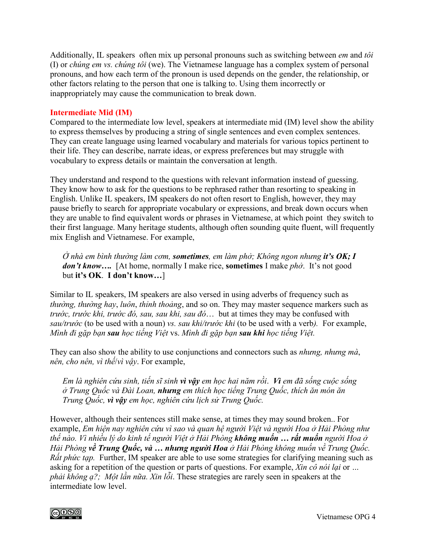Additionally, IL speakers often mix up personal pronouns such as switching between *em* and *tôi* (I) or *chúng em vs. chúng tôi* (we). The Vietnamese language has a complex system of personal pronouns, and how each term of the pronoun is used depends on the gender, the relationship, or other factors relating to the person that one is talking to. Using them incorrectly or inappropriately may cause the communication to break down.

### **Intermediate Mid (IM)**

Compared to the intermediate low level, speakers at intermediate mid (IM) level show the ability to express themselves by producing a string of single sentences and even complex sentences. They can create language using learned vocabulary and materials for various topics pertinent to their life. They can describe, narrate ideas, or express preferences but may struggle with vocabulary to express details or maintain the conversation at length.

They understand and respond to the questions with relevant information instead of guessing. They know how to ask for the questions to be rephrased rather than resorting to speaking in English. Unlike IL speakers, IM speakers do not often resort to English, however, they may pause briefly to search for appropriate vocabulary or expressions, and break down occurs when they are unable to find equivalent words or phrases in Vietnamese, at which point they switch to their first language. Many heritage students, although often sounding quite fluent, will frequently mix English and Vietnamese. For example,

*Ở nhà em bình thường làm cơm, sometimes, em làm phở; Không ngon nhưng it's OK; I don't know….* [At home, normally I make rice, **sometimes** I make *phở*. It's not good but **it's OK**. **I don't know…**]

Similar to IL speakers, IM speakers are also versed in using adverbs of frequency such as *thường, thường hay*, *luôn*, *thỉnh thoảng*, and so on. They may master sequence markers such as *trước, trước khi, trước đó, sau, sau khi, sau đó*… but at times they may be confused with *sau/trước* (to be used with a noun) *vs. sau khi/trước khi* (to be used with a verb*).* For example, *Mình đi gặp bạn sau học tiếng Việt* vs. *Mình đi gặp bạn sau khi học tiếng Việt.* 

They can also show the ability to use conjunctions and connectors such as *nhưng, nhưng mà*, *nên, cho nên, vì thế*/*vì vậy*. For example,

*Em là nghiên cứu sinh, tiến sĩ sinh vì vậy em học hai năm rồi*. *Vì em đã sống cuộc sống ở Trung Quốc và Đài Loan, nhưng em thích học tiếng Trung Quốc, thích ăn món ăn Trung Quốc, vì vậy em học, nghiên cứu lịch sử Trung Quốc.* 

However, although their sentences still make sense, at times they may sound broken.. For example, *Em hiện nay nghiên cứu vì sao và quan hệ người Việt và người Hoa ở Hải Phòng như thế nào. Vì nhiều lý do kinh tế người Việt ở Hải Phòng không muốn … rất muốn người Hoa ở Hải Phòng về Trung Quốc, và … nhưng người Hoa ở Hải Phòng không muốn về Trung Quốc. Rất phức tạp.* Further, IM speaker are able to use some strategies for clarifying meaning such as asking for a repetition of the question or parts of questions. For example, *Xin cô nói lại* or *… phải không ạ?; Một lần nữa. Xin lỗi*. These strategies are rarely seen in speakers at the intermediate low level.

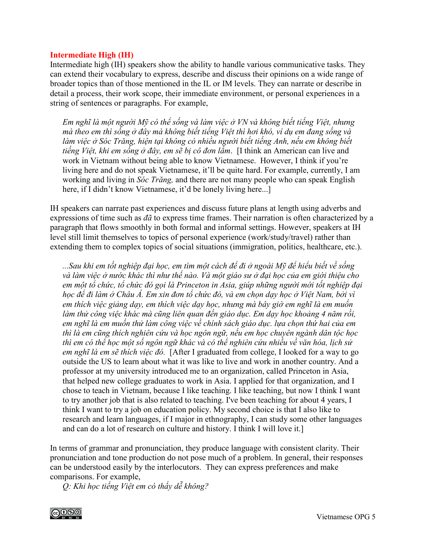### **Intermediate High (IH)**

Intermediate high (IH) speakers show the ability to handle various communicative tasks. They can extend their vocabulary to express, describe and discuss their opinions on a wide range of broader topics than of those mentioned in the IL or IM levels. They can narrate or describe in detail a process, their work scope, their immediate environment, or personal experiences in a string of sentences or paragraphs. For example,

*Em nghĩ là một người Mỹ có thể sống và làm việc ở VN và không biết tiếng Việt, nhưng mà theo em thì sống ở đây mà không biết tiếng Việt thì hơi khó, ví dụ em đang sống và làm việc ở Sóc Trăng, hiện tại không có nhiều người biết tiếng Anh, nếu em không biết tiếng Việt, khi em sống ở đây, em sẽ bị cô đơn lắm*. [I think an American can live and work in Vietnam without being able to know Vietnamese. However, I think if you're living here and do not speak Vietnamese, it'll be quite hard. For example, currently, I am working and living in *Sóc Trăng,* and there are not many people who can speak English here, if I didn't know Vietnamese, it'd be lonely living here...

IH speakers can narrate past experiences and discuss future plans at length using adverbs and expressions of time such as *đã* to express time frames. Their narration is often characterized by a paragraph that flows smoothly in both formal and informal settings. However, speakers at IH level still limit themselves to topics of personal experience (work/study/travel) rather than extending them to complex topics of social situations (immigration, politics, healthcare, etc.).

*...Sau khi em tốt nghiệp đại học, em tìm một cách để đi ở ngoài Mỹ để hiểu biết về sống và làm việc ở nước khác thì như thế nào. Và một giáo sư ở đại học của em giới thiệu cho em một tổ chức, tổ chức đó gọi là Princeton in Asia, giúp những người mới tốt nghiệp đại*  học để đi làm ở Châu Á. Em xin đơn tổ chức đó, và em chọn dạy học ở Việt Nam, bởi vì *em thích việc giảng dạy, em thích việc dạy học, nhưng mà bây giờ em nghĩ là em muốn làm thử công việc khác mà cũng liên quan đến giáo dục. Em dạy học khoảng 4 năm rồi, em nghĩ là em muốn thử làm công việc về chính sách giáo dục. lựa chọn thứ hai của em thì là em cũng thích nghiên cứu và học ngôn ngữ, nếu em học chuyên ngành dân tộc học thì em có thể học một số ngôn ngữ khác và có thể nghiên cứu nhiều về văn hóa, lịch sử em nghĩ là em sẽ thích việc đó.* [After I graduated from college, I looked for a way to go outside the US to learn about what it was like to live and work in another country. And a professor at my university introduced me to an organization, called Princeton in Asia, that helped new college graduates to work in Asia. I applied for that organization, and I chose to teach in Vietnam, because I like teaching. I like teaching, but now I think I want to try another job that is also related to teaching. I've been teaching for about 4 years, I think I want to try a job on education policy. My second choice is that I also like to research and learn languages, if I major in ethnography, I can study some other languages and can do a lot of research on culture and history. I think I will love it.]

In terms of grammar and pronunciation, they produce language with consistent clarity. Their pronunciation and tone production do not pose much of a problem. In general, their responses can be understood easily by the interlocutors. They can express preferences and make comparisons. For example,

*Q: Khi học tiếng Việt em có thấy dễ không?* 

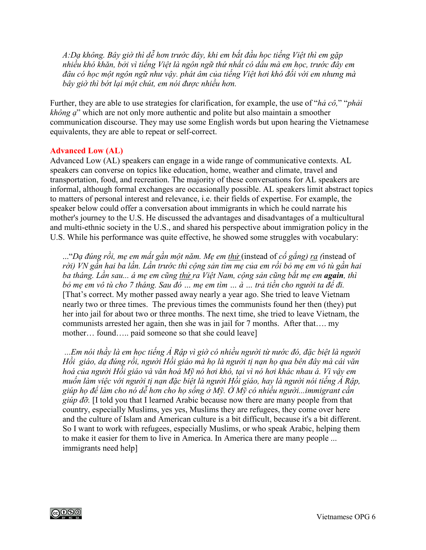*A:Dạ không. Bây giờ thì dễ hơn trước đây, khi em bắt đầu học tiếng Việt thì em gặp nhiều khó khăn, bởi vì tiếng Việt là ngôn ngữ thứ nhất có dấu mà em học, trước đây em đâu có học một ngôn ngữ như vậy. phát âm của tiếng Việt hơi khó đối với em nhưng mà bây giờ thì bớt lại một chút, em nói được nhiều hơn.*

Further, they are able to use strategies for clarification, for example, the use of "*hả cô,*" "*phải không ạ*" which are not only more authentic and polite but also maintain a smoother communication discourse. They may use some English words but upon hearing the Vietnamese equivalents, they are able to repeat or self-correct.

### **Advanced Low (AL)**

Advanced Low (AL) speakers can engage in a wide range of communicative contexts. AL speakers can converse on topics like education, home, weather and climate, travel and transportation, food, and recreation. The majority of these conversations for AL speakers are informal, although formal exchanges are occasionally possible. AL speakers limit abstract topics to matters of personal interest and relevance, i.e. their fields of expertise. For example, the speaker below could offer a conversation about immigrants in which he could narrate his mother's journey to the U.S. He discussed the advantages and disadvantages of a multicultural and multi-ethnic society in the U.S., and shared his perspective about immigration policy in the U.S. While his performance was quite effective, he showed some struggles with vocabulary:

..."*Dạ đúng rồi, mẹ em mất gần một năm. Mẹ em thử* (instead of *cố gắng) ra (*instead of *rời) VN gần hai ba lần. Lần trước thì cộng sản tìm mẹ của em rồi bỏ mẹ em vô tù gần hai ba tháng. Lần sau... á mẹ em cũng thử ra Việt Nam, cộng sản cũng bắt mẹ em again, thì bỏ mẹ em vô tù cho 7 tháng. Sau đó … mẹ em tìm … à … trả tiền cho người ta để đi.*  [That's correct. My mother passed away nearly a year ago. She tried to leave Vietnam nearly two or three times. The previous times the communists found her then (they) put her into jail for about two or three months. The next time, she tried to leave Vietnam, the communists arrested her again, then she was in jail for 7 months. After that…. my mother… found….. paid someone so that she could leave]

*...Em nói thầy là em học tiếng Ả Rập vì giờ có nhiều người từ nước đó, đặc biệt là người Hồi giáo, dạ đúng rồi, người Hồi giáo mà họ là người tị nạn họ qua bên đây mà cái văn hoá của người Hồi giáo và văn hoá Mỹ nó hơi khó, tại vì nó hơi khác nhau á. Vì vậy em muốn làm việc với người tị nạn đặc biệt là người Hồi giáo, hay là người nói tiếng Ả Rập, giúp họ để làm cho nó dễ hơn cho họ sống ở Mỹ. Ở Mỹ có nhiều người...immigrant cần giúp đỡ.* [I told you that I learned Arabic because now there are many people from that country, especially Muslims, yes yes, Muslims they are refugees, they come over here and the culture of Islam and American culture is a bit difficult, because it's a bit different. So I want to work with refugees, especially Muslims, or who speak Arabic, helping them to make it easier for them to live in America. In America there are many people ... immigrants need help]

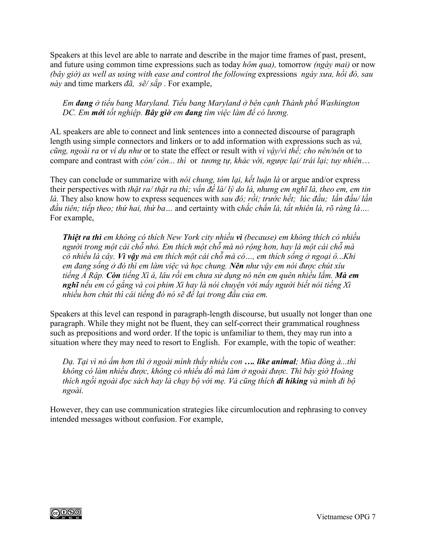Speakers at this level are able to narrate and describe in the major time frames of past, present, and future using common time expressions such as today *hôm qua),* tomorrow *(ngày mai)* or now *(bây giờ) as well as using with ease and control the following* expressions *ngày xưa, hồi đó, sau này* and time markers *đã, sẽ/ sắp* . For example,

# *Em đang ở tiểu bang Maryland. Tiểu bang Maryland ở bên cạnh Thành phố Washington DC. Em mới tốt nghiệp. Bây giờ em đang tìm việc làm để có lương.*

AL speakers are able to connect and link sentences into a connected discourse of paragraph length using simple connectors and linkers or to add information with expressions such as *và, cũng, ngoài ra* or *ví dụ như* or to state the effect or result with *vì vậy/vì thế; cho nên/nên* or to compare and contrast with *còn/ còn... thì* or *tương tự, khác với, ngược lại/ trái lại; tuy nhiên*…

They can conclude or summarize with *nói chung, tóm lại, kết luận là* or argue and/or express their perspectives with *thật ra/ thật ra thì; vấn đề là/ lý do là, nhưng em nghĩ là, theo em, em tin là.* They also know how to express sequences with *sau đó; rồi; trước hết; lúc đầu; lần đầu/ lần đầu tiên; tiếp theo; thứ hai, thứ ba…* and certainty with c*hắc chắn là, tất nhiên là, rõ ràng là….*  For example,

*Thiệt ra thì em không có thích New York city nhiều vì (because) em không thích có nhiều người trong một cái chỗ nhỏ. Em thích một chỗ mà nó rộng hơn, hay là một cái chỗ mà có nhiều lá cây. Vì vậy mà em thích một cái chỗ mà có…, em thích sống ở ngoại ô.*..*Khi em đang sống ở đó thì em làm việc và học chung. Nên như vậy em nói được chút xíu tiếng Ả Rập. Còn tiếng Xì á, lâu rồi em chưa sử dụng nó nên em quên nhiều lắm. Mà em nghĩ nếu em cố gắng và coi phim Xì hay là nói chuyện với mấy người biết nói tiếng Xì nhiều hơn chút thì cái tiếng đó nó sẽ để lại trong đầu của em.* 

Speakers at this level can respond in paragraph-length discourse, but usually not longer than one paragraph. While they might not be fluent, they can self-correct their grammatical roughness such as prepositions and word order. If the topic is unfamiliar to them, they may run into a situation where they may need to resort to English. For example, with the topic of weather:

*Dạ. Tại vì nó ấm hơn thì ở ngoài mình thấy nhiều con …. like animal; Mùa đông à...thì không có làm nhiều được, không có nhiều đồ mà làm ở ngoài được. Thì bây giờ Hoàng thích ngồi ngoài đọc sách hay là chạy bộ với mẹ. Và cũng thích đi hiking và mình đi bộ ngoài.* 

However, they can use communication strategies like circumlocution and rephrasing to convey intended messages without confusion. For example,

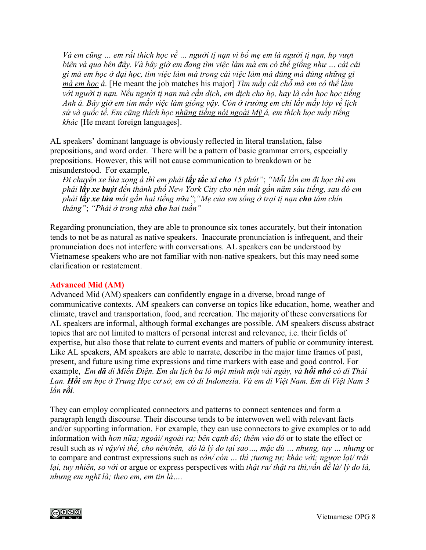*Và em cũng … em rất thích học về … người tị nạn vì bố mẹ em là người tị nạn, họ vượt biên và qua bên đây. Và bây giờ em đang tìm việc làm mà em có thể giống như … cái cái gì mà em học ở đại học, tìm việc làm mà trong cái việc làm mà đúng mà đúng những gì mà em học á*. [He meant the job matches his major] *Tìm mấy cái chỗ mà em có thể làm với người tị nạn. Nếu người tị nạn mà cần dịch, em dịch cho họ, hay là cần học học tiếng Anh á. Bây giờ em tìm mấy việc làm giống vậy. Còn ở trường em chỉ lấy mấy lớp về lịch sử và quốc tế. Em cũng thích học những tiếng nói ngoài Mỹ á, em thích học mấy tiếng khác* [He meant foreign languages].

AL speakers' dominant language is obviously reflected in literal translation, false prepositions, and word order. There will be a pattern of basic grammar errors, especially prepositions. However, this will not cause communication to breakdown or be misunderstood. For example,

*Đi chuyến xe lửa xong á thì em phải lấy tắc xi cho 15 phút"*; *"Mỗi lần em đi học thì em phải lấy xe buýt đến thành phố New York City cho nên mất gần năm sáu tiếng, sau đó em phải lấy xe lửa mất gần hai tiếng nữa"*;*"Mẹ của em sống ở trại tị nạn cho tám chín tháng"*; *"Phải ở trong nhà cho hai tuần"*

Regarding pronunciation, they are able to pronounce six tones accurately, but their intonation tends to not be as natural as native speakers. Inaccurate pronunciation is infrequent, and their pronunciation does not interfere with conversations. AL speakers can be understood by Vietnamese speakers who are not familiar with non-native speakers, but this may need some clarification or restatement.

### **Advanced Mid (AM)**

Advanced Mid (AM) speakers can confidently engage in a diverse, broad range of communicative contexts. AM speakers can converse on topics like education, home, weather and climate, travel and transportation, food, and recreation. The majority of these conversations for AL speakers are informal, although formal exchanges are possible. AM speakers discuss abstract topics that are not limited to matters of personal interest and relevance, i.e. their fields of expertise, but also those that relate to current events and matters of public or community interest. Like AL speakers, AM speakers are able to narrate, describe in the major time frames of past, present, and future using time expressions and time markers with ease and good control. For example, *Em đã đi Miến Điện. Em du lịch ba lô một mình một vài ngày, và hồi nhỏ có đi Thái Lan. Hồi em học ở Trung Học cơ sở, em có đi Indonesia. Và em đi Việt Nam. Em đi Việt Nam 3 lần rồi.* 

They can employ complicated connectors and patterns to connect sentences and form a paragraph length discourse. Their discourse tends to be interwoven well with relevant facts and/or supporting information. For example, they can use connectors to give examples or to add information with *hơn nữa; ngoài/ ngoài ra; bên cạnh đó; thêm vào đó* or to state the effect or result such as *vì vậy/vì thế, cho nên/nên, đó là lý do tại sao…, mặc dù … nhưng, tuy … nhưng* or to compare and contrast expressions such as *còn/ còn … thì ;tương tự; khác với; ngược lại/ trái lại, tuy nhiên, so với* or argue or express perspectives with *thật ra/ thật ra thì,vấn đề là/ lý do là, nhưng em nghĩ là; theo em, em tin là….* 

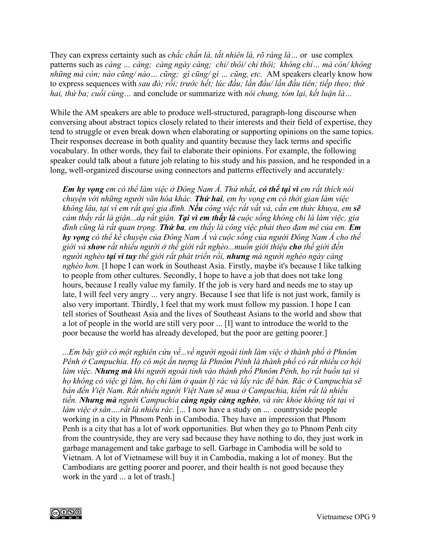They can express certainty such as *chắc chắn là, tất nhiên là, rõ ràng là…* or use complex patterns such as *càng … càng; càng ngày càng; chỉ/ thôi/ chỉ thôi; không chỉ… mà còn/ không những mà còn; nào cũng/ nào… cũng; gì cũng/ gì … cũng, etc.* AM speakers clearly know how to express sequences with *sau đó; rồi; trước hết; lúc đầu; lần đầu/ lần đầu tiên; tiếp theo; thứ hai, thứ ba; cuối cùng…* and conclude or summarize with *nói chung, tóm lại, kết luận là…*

While the AM speakers are able to produce well-structured, paragraph-long discourse when conversing about abstract topics closely related to their interests and their field of expertise, they tend to struggle or even break down when elaborating or supporting opinions on the same topics. Their responses decrease in both quality and quantity because they lack terms and specific vocabulary. In other words, they fail to elaborate their opinions. For example, the following speaker could talk about a future job relating to his study and his passion, and he responded in a long, well-organized discourse using connectors and patterns effectively and accurately*:*

*Em hy vọng em có thể làm việc ở Đông Nam Á. Thứ nhất, có thể tại vì em rất thích nói chuyện với những người văn hóa khác. Thứ hai, em hy vọng em có thời gian làm việc không lâu, tại vì em rất quý gia đình. Nếu công việc rất vất vả, cần em thức khuya, em sẽ cảm thấy rất là giận...dạ rất giận. Tại vì em thấy là cuộc sống không chỉ là làm việc, gia đình cũng là rất quan trọng. Thứ ba, em thấy là công việc phải theo đam mê của em. Em hy vọng có thể kể chuyện của Đông Nam Á và cuộc sống của người Đông Nam Á cho thế giới và show rất nhiều người ở thế giới rất nghèo...muốn giới thiệu cho thế giới đến người nghèo tại vì tuy thế giới rất phát triển rồi, nhưng mà người nghèo ngày càng nghèo hơn.* [I hope I can work in Southeast Asia. Firstly, maybe it's because I like talking to people from other cultures. Secondly, I hope to have a job that does not take long hours, because I really value my family. If the job is very hard and needs me to stay up late, I will feel very angry ... very angry. Because I see that life is not just work, family is also very important. Thirdly, I feel that my work must follow my passion. I hope I can tell stories of Southeast Asia and the lives of Southeast Asians to the world and show that a lot of people in the world are still very poor ... [I] want to introduce the world to the poor because the world has already developed, but the poor are getting poorer.]

*...Em bây giờ có một nghiên cứu về...về người ngoài tỉnh làm việc ở thành phố ở Phnôm Pênh ở Campuchia. Họ có một ấn tượng là Phnôm Pênh là thành phố có rất nhiều cơ hội làm việc. Nhưng mà khi người ngoài tỉnh vào thành phố Phnôm Pênh, họ rất buồn tại vì họ không có việc gì làm, họ chỉ làm ở quản lý rác và lấy rác để bán. Rác ở Campuchia sẽ bán đến Việt Nam. Rất nhiều người Việt Nam sẽ mua ở Campuchia, kiếm rất là nhiều tiền. Nhưng mà người Campuchia càng ngày càng nghèo, và sức khỏe không tốt tại vì làm việc ở sân….rất là nhiều rác.* [... I now have a study on ... countryside people working in a city in Phnom Penh in Cambodia. They have an impression that Phnom Penh is a city that has a lot of work opportunities. But when they go to Phnom Penh city from the countryside, they are very sad because they have nothing to do, they just work in garbage management and take garbage to sell. Garbage in Cambodia will be sold to Vietnam. A lot of Vietnamese will buy it in Cambodia, making a lot of money. But the Cambodians are getting poorer and poorer, and their health is not good because they work in the yard ... a lot of trash.]

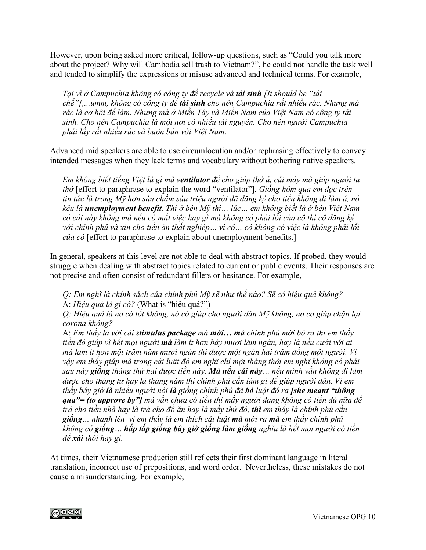However, upon being asked more critical, follow-up questions, such as "Could you talk more about the project? Why will Cambodia sell trash to Vietnam?", he could not handle the task well and tended to simplify the expressions or misuse advanced and technical terms. For example,

*Tại vì ở Campuchia không có công ty để recycle và tái sinh [It should be "tái chế"],...umm, không có công ty để tái sinh cho nên Campuchia rất nhiều rác. Nhưng mà rác là cơ hội để làm. Nhưng mà ở Miền Tây và Miền Nam của Việt Nam có công ty tái sinh. Cho nên Campuchia là một nơi có nhiều tài nguyên. Cho nên người Campuchia phải lấy rất nhiều rác và buôn bán với Việt Nam.* 

Advanced mid speakers are able to use circumlocution and/or rephrasing effectively to convey intended messages when they lack terms and vocabulary without bothering native speakers.

*Em không biết tiếng Việt là gì mà ventilator để cho giúp thở á, cái máy mà giúp người ta thở* [effort to paraphrase to explain the word "ventilator"]*. Giống hôm qua em đọc trên tin tức là trong Mỹ hơn sáu chấm sáu triệu người đã đăng ký cho tiền không đi làm á, nó kêu là unemployment benefit. Thì ở bên Mỹ thì… lúc… em không biết là ở bên Việt Nam có cái này không mà nếu cô mất việc hay gì mà không có phải lỗi của cô thì cô đăng ký với chính phủ và xin cho tiền ăn thất nghiệp… vì cô… cô không có việc là không phải lỗi của cô* [effort to paraphrase to explain about unemployment benefits.]

In general, speakers at this level are not able to deal with abstract topics. If probed, they would struggle when dealing with abstract topics related to current or public events. Their responses are not precise and often consist of redundant fillers or hesitance. For example,

*Q: Em nghĩ là chính sách của chính phủ Mỹ sẽ như thế nào? Sẽ có hiệu quả không?* A: *Hiệu quả là gì cô?* (What is "hiệu quả?")

*Q: Hiệu quả là nó có tốt không, nó có giúp cho người dân Mỹ không, nó có giúp chặn lại corona không?* 

A: *Em thấy là với cái stimulus package mà mới… mà chính phủ mới bỏ ra thì em thấy tiền đó giúp vì hết mọi người mà làm ít hơn bảy mươi lăm ngàn, hay là nếu cưới với ai mà làm ít hơn một trăm năm mươi ngàn thì được một ngàn hai trăm đồng một người. Vì vậy em thấy giúp mà trong cái luật đó em nghĩ chỉ một tháng thôi em nghĩ không có phải sau này giống tháng thứ hai được tiền này. Mà nếu cái này… nếu mình vẫn không đi làm được cho tháng tư hay là tháng năm thì chính phủ cần làm gì để giúp người dân. Vì em thấy bây giờ là nhiều người nói là giống chính phủ đã bỏ luật đó ra [she meant "thông qua"= (to approve by"] mà vẫn chưa có tiền thì mấy người đang không có tiền đủ nữa để trả cho tiền nhà hay là trả cho đồ ăn hay là mấy thứ đó, thì em thấy là chính phủ cần giống… nhanh lên vì em thấy là em thích cái luật mà mới ra mà em thấy chính phủ không có giống… hấp tấp giống bây giờ giống làm giống nghĩa là hết mọi người có tiền để xài thôi hay gì.* 

At times, their Vietnamese production still reflects their first dominant language in literal translation, incorrect use of prepositions, and word order. Nevertheless, these mistakes do not cause a misunderstanding. For example,

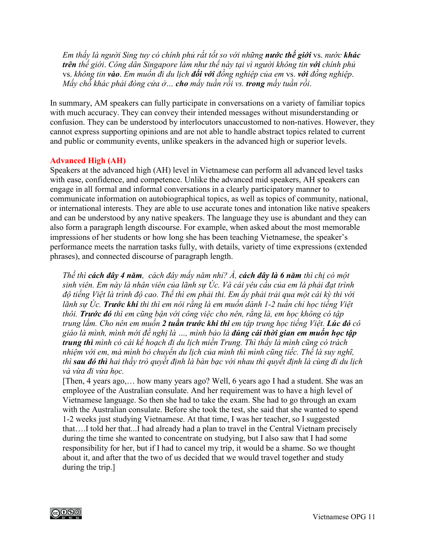*Em thấy là người Sing tuy có chính phủ rất tốt so với những nước thế giới* vs. *nước khác trên thế giới*. *Công dân Singapore làm như thế này tại vì người không tin với chính phủ*  vs. *không tin vào*. *Em muốn đi du lịch đối với đồng nghiệp của em* vs. *với đồng nghiệp*. *Mấy chỗ khác phải đóng cửa ở… cho mấy tuần rồi vs. trong mấy tuần rồi*.

In summary, AM speakers can fully participate in conversations on a variety of familiar topics with much accuracy. They can convey their intended messages without misunderstanding or confusion. They can be understood by interlocutors unaccustomed to non-natives. However, they cannot express supporting opinions and are not able to handle abstract topics related to current and public or community events, unlike speakers in the advanced high or superior levels.

# **Advanced High (AH)**

Speakers at the advanced high (AH) level in Vietnamese can perform all advanced level tasks with ease, confidence, and competence. Unlike the advanced mid speakers, AH speakers can engage in all formal and informal conversations in a clearly participatory manner to communicate information on autobiographical topics, as well as topics of community, national, or international interests. They are able to use accurate tones and intonation like native speakers and can be understood by any native speakers. The language they use is abundant and they can also form a paragraph length discourse. For example, when asked about the most memorable impressions of her students or how long she has been teaching Vietnamese, the speaker's performance meets the narration tasks fully, with details, variety of time expressions (extended phrases), and connected discourse of paragraph length.

*Thế thì cách đây 4 năm, cách đây mấy năm nhỉ? À, cách đây là 6 năm thì chị có một sinh viên. Em này là nhân viên của lãnh sự Úc. Và cái yêu cầu của em là phải đạt trình độ tiếng Việt là trình độ cao. Thế thì em phải thi. Em ấy phải trải qua một cái kỳ thi với lãnh sự Úc. Trước khi thi thì em nói rằng là em muốn dành 1-2 tuần chỉ học tiếng Việt thôi. Trước đó thì em cũng bận với công việc cho nên, rằng là, em học không có tập trung lắm. Cho nên em muốn 2 tuần trước khi thi em tập trung học tiếng Việt. Lúc đó cô giáo là mình, mình mới đề nghị là …, mình bảo là đúng cái thời gian em muốn học tập trung thì mình có cái kế hoạch đi du lịch miền Trung. Thì thấy là mình cũng có trách nhiệm với em, mà mình bỏ chuyến du lịch của mình thì mình cũng tiếc. Thế là suy nghĩ, thì sau đó thì hai thầy trò quyết định là bàn bạc với nhau thì quyết định là cùng đi du lịch và vừa đi vừa học.* 

[Then, 4 years ago,… how many years ago? Well, 6 years ago I had a student. She was an employee of the Australian consulate. And her requirement was to have a high level of Vietnamese language. So then she had to take the exam. She had to go through an exam with the Australian consulate. Before she took the test, she said that she wanted to spend 1-2 weeks just studying Vietnamese. At that time, I was her teacher, so I suggested that….I told her that...I had already had a plan to travel in the Central Vietnam precisely during the time she wanted to concentrate on studying, but I also saw that I had some responsibility for her, but if I had to cancel my trip, it would be a shame. So we thought about it, and after that the two of us decided that we would travel together and study during the trip.]

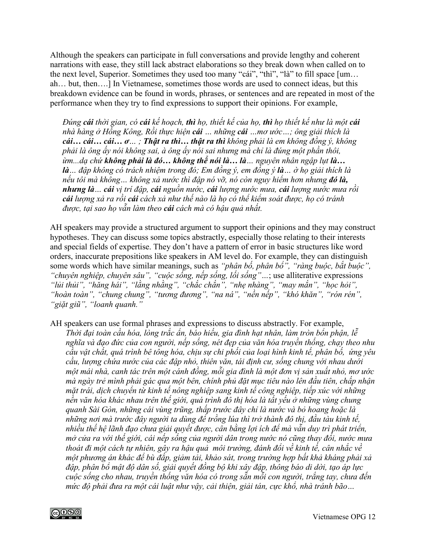Although the speakers can participate in full conversations and provide lengthy and coherent narrations with ease, they still lack abstract elaborations so they break down when called on to the next level, Superior. Sometimes they used too many "cái", "thì", "là" to fill space [um… ah… but, then….] In Vietnamese, sometimes those words are used to connect ideas, but this breakdown evidence can be found in words, phrases, or sentences and are repeated in most of the performance when they try to find expressions to support their opinions. For example,

*Đúng cái thời gian, có cái kế hoạch, thì họ, thiết kế của họ, thì họ thiết kế như là một cái nhà hàng ở Hồng Kông, Rồi thực hiện cái … những cái …mơ ước…; ông giải thích là cái… cái… cái… ơ… ; Thật ra thì… thật ra thì không phải là em không đồng ý, không phải là ông ấy nói không sai, à ông ấy nói sai nhưng mà chỉ là đúng một phần thôi, ừm...dạ chứ không phải là đó… không thể nói là… là… nguyên nhân ngập lụt là… là… đập không có trách nhiệm trong đó; Em đồng ý, em đồng ý là… ờ họ giải thích là nếu tôi mà không… không xả nước thì đập nó vỡ, nó còn nguy hiểm hơn nhưng đó là, nhưng là… cái vị trí đập, cái nguồn nước, cái lượng nước mưa, cái lượng nước mưa rồi cái lượng xả ra rồi cái cách xả như thế nào là họ có thể kiểm soát được, họ có tránh được, tại sao họ vẫn làm theo cái cách mà có hậu quả nhất.* 

AH speakers may provide a structured argument to support their opinions and they may construct hypotheses. They can discuss some topics abstractly, especially those relating to their interests and special fields of expertise. They don't have a pattern of error in basic structures like word orders, inaccurate prepositions like speakers in AM level do. For example, they can distinguish some words which have similar meanings, such as *"phân bố, phân bổ", "ràng buộc, bắt buộc", "chuyên nghiệp, chuyên sâu", "cuộc sống, nếp sống, lối sống"…*; use alliterative expressions *"lủi thủi", "hăng hái", "lằng nhằng", "chắc chắn", "nhẹ nhàng", "may mắn", "học hỏi", "hoàn toàn", "chung chung", "tương đương", "na ná", "nền nếp", "khó khăn", "rón rén", "giặt giũ", "loanh quanh."*

AH speakers can use formal phrases and expressions to discuss abstractly. For example, *Thời đại toàn cầu hóa, lòng trắc ẩn, báo hiếu, gia đình hạt nhân, làm tròn bổn phận, lễ nghĩa và đạo đức của con người, nếp sống, nét đẹp của văn hóa truyền thống, chạy theo nhu cầu vật chất, quá trình bê tông hóa, chịu sự chi phối của loại hình kinh tế, phân bố, ứng yêu cầu, lượng chứa nước của các đập nhỏ, thiên văn, tái định cư, sống chung với nhau dưới một mái nhà, canh tác trên một cánh đồng, mỗi gia đình là một đơn vị sản xuất nhỏ, mơ ước mà ngày trẻ mình phải gác qua một bên, chính phủ đặt mục tiêu nào lên đầu tiên, chấp nhận mặt trái, dịch chuyển từ kinh tế nông nghiệp sang kinh tế công nghiệp, tiếp xúc với những nền văn hóa khác nhau trên thế giới, quá trình đô thị hóa là tất yếu ở những vùng chung quanh Sài Gòn, những cái vùng trũng, thấp trước đây chỉ là nước và bỏ hoang hoặc là những nơi mà trước đây người ta dùng để trồng lúa thì trở thành đô thị, đầu tàu kinh tế, nhiều thế hệ lãnh đạo chưa giải quyết được, cân bằng lợi ích để mà vẫn duy trì phát triển, mở cửa ra với thế giới, cái nếp sống của người dân trong nước nó cũng thay đổi, nước mưa thoát đi một cách tự nhiên, gây ra hậu quả môi trường, đánh đổi về kinh tế, cân nhắc về một phương án khác để bù đắp, giảm tải, khảo sát, trong trường hợp bất khả kháng phải xả đập, phân bổ mật độ dân số, giải quyết đồng bộ khi xây đập, thông báo di dời, tạo áp lực cuộc sống cho nhau, truyền thống văn hóa có trong sẵn mỗi con người, trắng tay, chưa đến mức độ phải đưa ra một cái luật như vậy, cải thiện, giải tán, cực khổ, nhà tránh bão…*

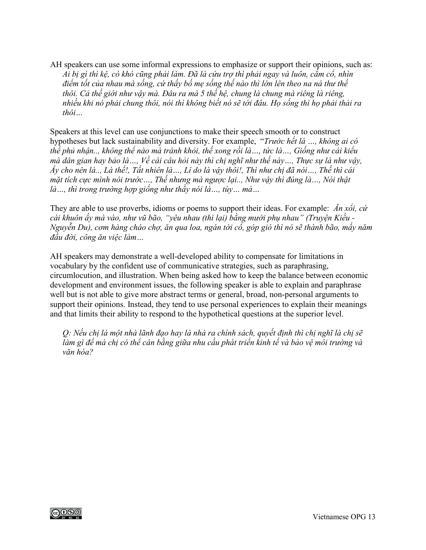AH speakers can use some informal expressions to emphasize or support their opinions, such as: *Ai bị gì thì kệ, có khó cũng phải làm. Đã là cứu trợ thì phải ngay và luôn, cắm cổ, nhìn điểm tốt của nhau mà sống, cứ thấy bố mẹ sống thế nào thì lớn lên theo na ná thư thế thôi. Cả thế giới như vậy mà. Đâu ra mà 5 thế hệ, chung là chung mà riêng là riêng, nhiều khi nó phải chung thôi, nói thì không biết nó sẽ tới đâu. Họ sống thì họ phải thải ra thôi…*

Speakers at this level can use conjunctions to make their speech smooth or to construct hypotheses but lack sustainability and diversity. For example, "*Trước hết là …, không ai có thể phủ nhận.., không thể nào mà tránh khỏi, thế xong rồi là…, tức là…, Giống như cái kiểu mà dân gian hay bảo là…, Về cái câu hỏi này thì chị nghĩ như thế này…, Thực sự là như vậy, Ấy cho nên là.., Là thế!, Tất nhiên là…, Lí do là vậy thôi!, Thì như chị đã nói…, Thế thì cái mặt tích cực mình nói trước…, Thế nhưng mà ngược lại.., Như vậy thì đúng là…, Nói thật là…, thì trong trường hợp giống như thầy nói là…, tùy… mà…*

They are able to use proverbs, idioms or poems to support their ideas. For example: *Ăn xổi, cứ cái khuôn ấy mà vào, như vũ bão, "yêu nhau (thì lại) bằng mười phụ nhau" (Truyện Kiều - Nguyễn Du), cơm hàng cháo chợ, ăn qua loa, ngán tới cổ, góp gió thì nó sẽ thành bão, mấy năm đầu đời, công ăn việc làm…*

AH speakers may demonstrate a well-developed ability to compensate for limitations in vocabulary by the confident use of communicative strategies, such as paraphrasing, circumlocution, and illustration. When being asked how to keep the balance between economic development and environment issues, the following speaker is able to explain and paraphrase well but is not able to give more abstract terms or general, broad, non-personal arguments to support their opinions. Instead, they tend to use personal experiences to explain their meanings and that limits their ability to respond to the hypothetical questions at the superior level.

*Q: Nếu chị là một nhà lãnh đạo hay là nhà ra chính sách, quyết định thì chị nghĩ là chị sẽ làm gì để mà chị có thể cân bằng giữa nhu cầu phát triển kinh tế và bảo vệ môi trường và văn hóa?*

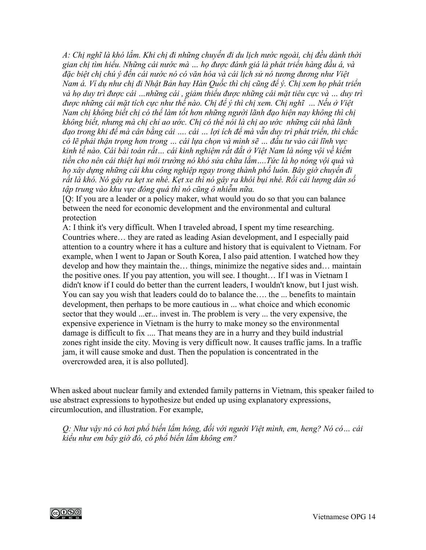*A: Chị nghĩ là khó lắm. Khi chị đi những chuyến đi du lịch nước ngoài, chị đều dành thời gian chị tìm hiểu. Những cái nước mà … họ được đánh giá là phát triển hàng đầu á, và đặc biệt chị chú ý đến cái nước nó có văn hóa và cái lịch sử nó tương đương như Việt Nam á. Ví dụ như chị đi Nhật Bản hay Hàn Quốc thì chị cũng để ý. Chị xem họ phát triển và họ duy trì được cái …những cái , giảm thiểu được những cái mặt tiêu cực và … duy trì được những cái mặt tích cực như thế nào. Chị để ý thì chị xem. Chị nghĩ … Nếu ở Việt Nam chị không biết chị có thể làm tốt hơn những người lãnh đạo hiện nay không thì chị không biết, nhưng mà chị chỉ ao ước. Chị có thể nói là chị ao ước những cái nhà lãnh đạo trong khi để mà cân bằng cái …. cái … lợi ích để mà vẫn duy trì phát triển, thì chắc có lẽ phải thận trọng hơn trong … cái lựa chọn và mình sẽ … đầu tư vào cái lĩnh vực kinh tế nào. Cái bài toán rất… cái kinh nghiệm rất đắt ở Việt Nam là nóng vội về kiếm tiền cho nên cái thiệt hại môi trường nó khó sửa chữa lắm….Tức là họ nóng vội quá và họ xây dựng những cái khu công nghiệp ngay trong thành phố luôn. Bây giờ chuyển đi rất là khó. Nó gây ra kẹt xe nhé. Kẹt xe thì nó gây ra khói bụi nhé. Rồi cái lượng dân số tập trung vào khu vực đông quá thì nó cũng ô nhiễm nữa.*

[Q: If you are a leader or a policy maker, what would you do so that you can balance between the need for economic development and the environmental and cultural protection

A: I think it's very difficult. When I traveled abroad, I spent my time researching. Countries where… they are rated as leading Asian development, and I especially paid attention to a country where it has a culture and history that is equivalent to Vietnam. For example, when I went to Japan or South Korea, I also paid attention. I watched how they develop and how they maintain the… things, minimize the negative sides and… maintain the positive ones. If you pay attention, you will see. I thought… If I was in Vietnam I didn't know if I could do better than the current leaders, I wouldn't know, but I just wish. You can say you wish that leaders could do to balance the…. the ... benefits to maintain development, then perhaps to be more cautious in ... what choice and which economic sector that they would ...er... invest in. The problem is very ... the very expensive, the expensive experience in Vietnam is the hurry to make money so the environmental damage is difficult to fix .... That means they are in a hurry and they build industrial zones right inside the city. Moving is very difficult now. It causes traffic jams. In a traffic jam, it will cause smoke and dust. Then the population is concentrated in the overcrowded area, it is also polluted].

When asked about nuclear family and extended family patterns in Vietnam, this speaker failed to use abstract expressions to hypothesize but ended up using explanatory expressions, circumlocution, and illustration. For example,

*Q: Như vậy nó có hơi phổ biến lắm hông, đối với người Việt mình, em, heng? Nó có… cái kiểu như em bây giờ đó, có phổ biến lắm không em?*

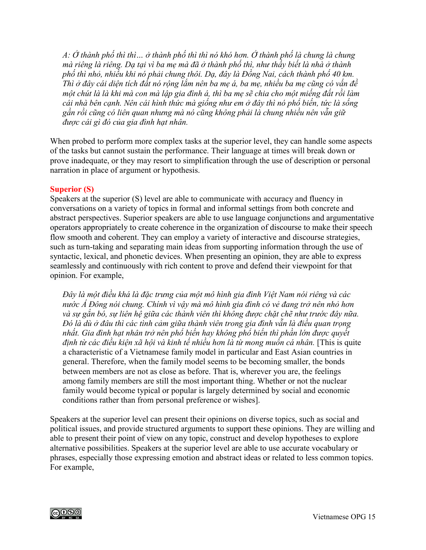*A: Ở thành phố thì thì… ở thành phố thì thì nó khó hơn. Ở thành phố là chung là chung mà riêng là riêng. Dạ tại vì ba mẹ mà đã ở thành phố thì, như thầy biết là nhà ở thành phố thì nhỏ, nhiều khi nó phải chung thôi. Dạ, đây là Đồng Nai, cách thành phố 40 km. Thì ở đây cái diện tích đất nó rộng lắm nên ba mẹ á, ba mẹ, nhiều ba mẹ cũng có vấn đề một chút là là khi mà con mà lập gia đình á, thì ba mẹ sẽ chia cho một miếng đất rồi làm cái nhà bên cạnh. Nên cái hình thức mà giống như em ở đây thì nó phổ biến, tức là sống gần rồi cũng có liên quan nhưng mà nó cũng không phải là chung nhiều nên vẫn giữ được cái gì đó của gia đình hạt nhân.*

When probed to perform more complex tasks at the superior level, they can handle some aspects of the tasks but cannot sustain the performance. Their language at times will break down or prove inadequate, or they may resort to simplification through the use of description or personal narration in place of argument or hypothesis.

### **Superior (S)**

Speakers at the superior (S) level are able to communicate with accuracy and fluency in conversations on a variety of topics in formal and informal settings from both concrete and abstract perspectives. Superior speakers are able to use language conjunctions and argumentative operators appropriately to create coherence in the organization of discourse to make their speech flow smooth and coherent. They can employ a variety of interactive and discourse strategies, such as turn-taking and separating main ideas from supporting information through the use of syntactic, lexical, and phonetic devices. When presenting an opinion, they are able to express seamlessly and continuously with rich content to prove and defend their viewpoint for that opinion. For example,

*Đây là một điều khá là đặc trưng của một mô hình gia đình Việt Nam nói riêng và các nước Á Đông nói chung. Chính vì vậy mà mô hình gia đình có vẻ đang trở nên nhỏ hơn và sự gắn bó, sự liên hệ giữa các thành viên thì không được chặt chẽ như trước đây nữa. Đó là dù ở đâu thì các tình cảm giữa thành viên trong gia đình vẫn là điều quan trọng nhất. Gia đình hạt nhân trở nên phổ biến hay không phổ biến thì phần lớn được quyết định từ các điều kiện xã hội và kinh tế nhiều hơn là từ mong muốn cá nhân.* [This is quite a characteristic of a Vietnamese family model in particular and East Asian countries in general. Therefore, when the family model seems to be becoming smaller, the bonds between members are not as close as before. That is, wherever you are, the feelings among family members are still the most important thing. Whether or not the nuclear family would become typical or popular is largely determined by social and economic conditions rather than from personal preference or wishes].

Speakers at the superior level can present their opinions on diverse topics, such as social and political issues, and provide structured arguments to support these opinions. They are willing and able to present their point of view on any topic, construct and develop hypotheses to explore alternative possibilities. Speakers at the superior level are able to use accurate vocabulary or phrases, especially those expressing emotion and abstract ideas or related to less common topics. For example,